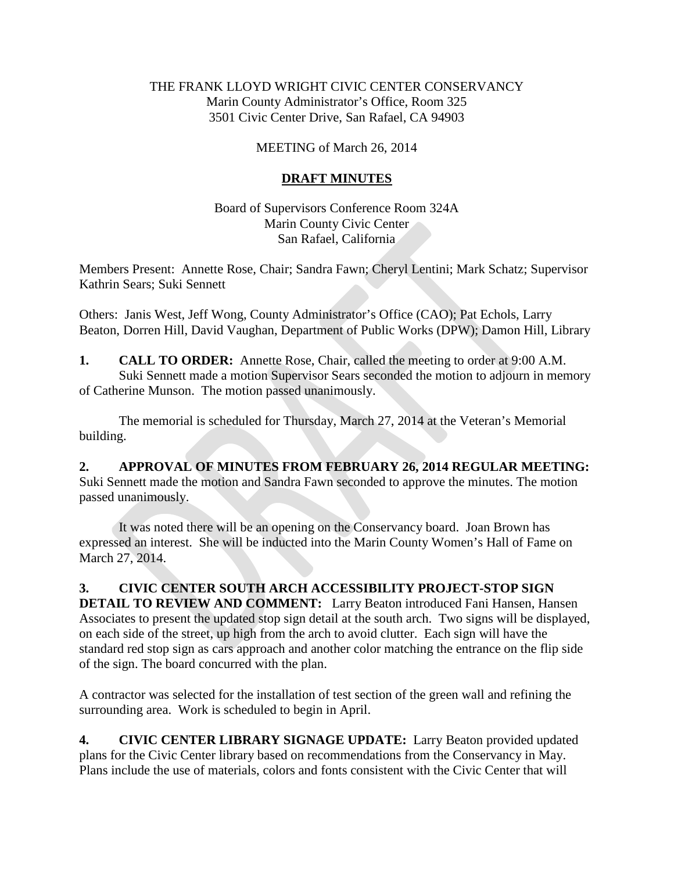### THE FRANK LLOYD WRIGHT CIVIC CENTER CONSERVANCY Marin County Administrator's Office, Room 325 3501 Civic Center Drive, San Rafael, CA 94903

#### MEETING of March 26, 2014

### **DRAFT MINUTES**

Board of Supervisors Conference Room 324A Marin County Civic Center San Rafael, California

Members Present: Annette Rose, Chair; Sandra Fawn; Cheryl Lentini; Mark Schatz; Supervisor Kathrin Sears; Suki Sennett

Others: Janis West, Jeff Wong, County Administrator's Office (CAO); Pat Echols, Larry Beaton, Dorren Hill, David Vaughan, Department of Public Works (DPW); Damon Hill, Library

**1. CALL TO ORDER:** Annette Rose, Chair, called the meeting to order at 9:00 A.M. Suki Sennett made a motion Supervisor Sears seconded the motion to adjourn in memory of Catherine Munson. The motion passed unanimously.

The memorial is scheduled for Thursday, March 27, 2014 at the Veteran's Memorial building.

**2. APPROVAL OF MINUTES FROM FEBRUARY 26, 2014 REGULAR MEETING:**  Suki Sennett made the motion and Sandra Fawn seconded to approve the minutes. The motion passed unanimously.

It was noted there will be an opening on the Conservancy board. Joan Brown has expressed an interest. She will be inducted into the Marin County Women's Hall of Fame on March 27, 2014.

**3. CIVIC CENTER SOUTH ARCH ACCESSIBILITY PROJECT-STOP SIGN DETAIL TO REVIEW AND COMMENT:** Larry Beaton introduced Fani Hansen, Hansen Associates to present the updated stop sign detail at the south arch. Two signs will be displayed, on each side of the street, up high from the arch to avoid clutter. Each sign will have the standard red stop sign as cars approach and another color matching the entrance on the flip side of the sign. The board concurred with the plan.

A contractor was selected for the installation of test section of the green wall and refining the surrounding area. Work is scheduled to begin in April.

**4. CIVIC CENTER LIBRARY SIGNAGE UPDATE:** Larry Beaton provided updated plans for the Civic Center library based on recommendations from the Conservancy in May. Plans include the use of materials, colors and fonts consistent with the Civic Center that will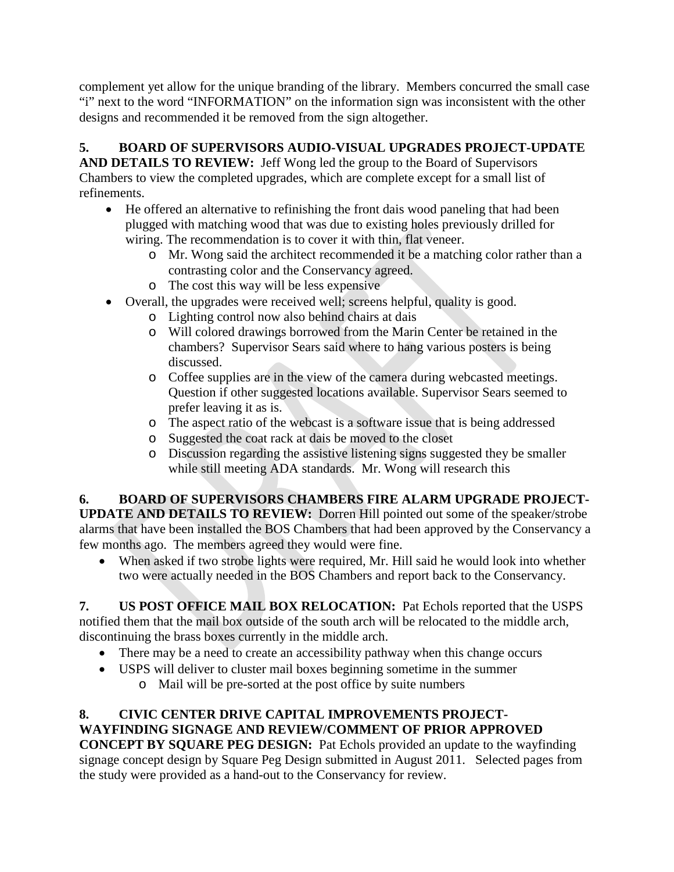complement yet allow for the unique branding of the library. Members concurred the small case "i" next to the word "INFORMATION" on the information sign was inconsistent with the other designs and recommended it be removed from the sign altogether.

## **5. BOARD OF SUPERVISORS AUDIO-VISUAL UPGRADES PROJECT-UPDATE**

**AND DETAILS TO REVIEW:** Jeff Wong led the group to the Board of Supervisors Chambers to view the completed upgrades, which are complete except for a small list of refinements.

- He offered an alternative to refinishing the front dais wood paneling that had been plugged with matching wood that was due to existing holes previously drilled for wiring. The recommendation is to cover it with thin, flat veneer.
	- o Mr. Wong said the architect recommended it be a matching color rather than a contrasting color and the Conservancy agreed.
	- o The cost this way will be less expensive
- Overall, the upgrades were received well; screens helpful, quality is good.
	- o Lighting control now also behind chairs at dais
	- o Will colored drawings borrowed from the Marin Center be retained in the chambers? Supervisor Sears said where to hang various posters is being discussed.
	- o Coffee supplies are in the view of the camera during webcasted meetings. Question if other suggested locations available. Supervisor Sears seemed to prefer leaving it as is.
	- o The aspect ratio of the webcast is a software issue that is being addressed
	- o Suggested the coat rack at dais be moved to the closet
	- o Discussion regarding the assistive listening signs suggested they be smaller while still meeting ADA standards. Mr. Wong will research this

# **6. BOARD OF SUPERVISORS CHAMBERS FIRE ALARM UPGRADE PROJECT-**

**UPDATE AND DETAILS TO REVIEW:** Dorren Hill pointed out some of the speaker/strobe alarms that have been installed the BOS Chambers that had been approved by the Conservancy a few months ago. The members agreed they would were fine.

• When asked if two strobe lights were required, Mr. Hill said he would look into whether two were actually needed in the BOS Chambers and report back to the Conservancy.

**7. US POST OFFICE MAIL BOX RELOCATION:** Pat Echols reported that the USPS notified them that the mail box outside of the south arch will be relocated to the middle arch, discontinuing the brass boxes currently in the middle arch.

- There may be a need to create an accessibility pathway when this change occurs
- USPS will deliver to cluster mail boxes beginning sometime in the summer o Mail will be pre-sorted at the post office by suite numbers

# **8. CIVIC CENTER DRIVE CAPITAL IMPROVEMENTS PROJECT-WAYFINDING SIGNAGE AND REVIEW/COMMENT OF PRIOR APPROVED**

**CONCEPT BY SQUARE PEG DESIGN:** Pat Echols provided an update to the wayfinding signage concept design by Square Peg Design submitted in August 2011. Selected pages from the study were provided as a hand-out to the Conservancy for review.